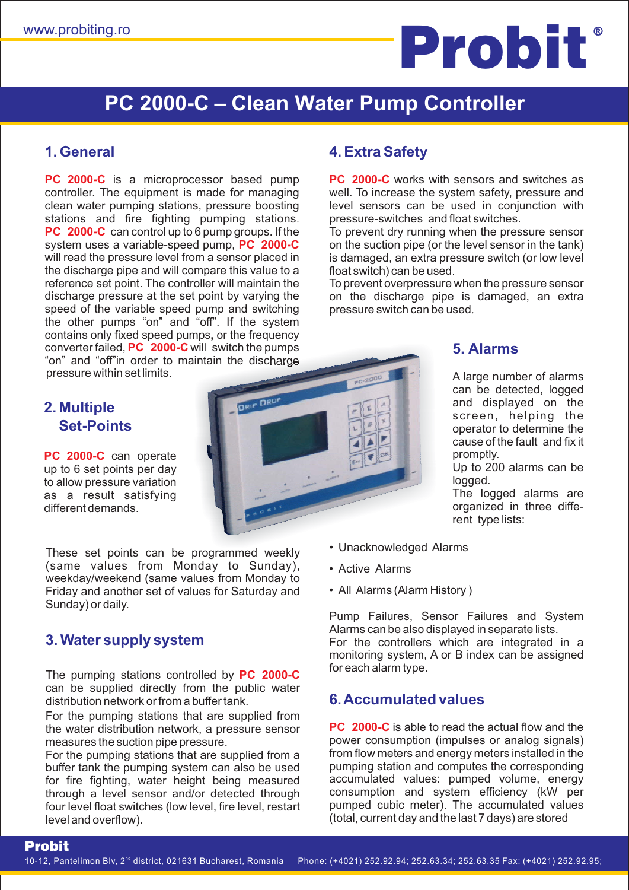# www.probiting.ro **but www.probiting.ro but www.probiting.ro**

# **PC 2000-C - Clean Water Pump Controller**

#### **1. General**

**PC 2000-C** is a microprocessor based pump **P C 2000-C \_** can control up to 6 pump groups. If the system uses a variable-speed pump, PC 2000-C converter failed, PC 2000-C will switch the pumps stations and fire fighting pumping stations. controller. The equipment is made for managing clean water pumping stations, pressure boosting "on" and "off"in order to maintain the discharge will read the pressure level from a sensor placed in the discharge pipe and will compare this value to a reference set point. The controller will maintain the discharge pressure at the set point by varying the speed of the variable speed pump and switching the other pumps "on" and "off". If the system contains only fixed speed pumps, or the frequency pressure within set limits.

### **2. Multiple Set-Points**

**PC 2000-C** can operate up to 6 set points per day to allow pressure variation as a result satisfying different demands.

These set points can be programmed weekly (same values from Monday to Sunday), weekday/weekend (same values from Monday to Friday and another set of values for Saturday and Sunday) or daily.

# **3. Water supply system**

Probit

The pumping stations controlled by **PC 2000-C \_** can be supplied directly from the public water distribution network or from a buffer tank.

For the pumping stations that are supplied from the water distribution network, a pressure sensor measures the suction pipe pressure.

For the pumping stations that are supplied from a buffer tank the pumping system can also be used for fire fighting, water height being measured through a level sensor and/or detected through four level float switches (low level, fire level, restart level and overflow).

# **DRIP DRD**

# **4. Extra Safety**

**PC 2000-C** works with sensors and switches as well. To increase the system safety, pressure and level sensors can be used in conjunction with pressure-switches and float switches.

To prevent dry running when the pressure sensor on the suction pipe (or the level sensor in the tank) is damaged, an extra pressure switch (or low level float switch) can be used.

. pressure switch can be used To prevent overpressure when the pressure sensor on the discharge pipe is damaged, an extra

# **5. Alarms**

A large number of alarms can be detected, logged and displayed on the screen, helping the operator to determine the cause of the fault and fix it promptly.

Up to 200 alarms can be logged.

The logged alarms are organized in three diffe rent type lists:

- Unacknowledged Alarms
- Active Alarms
- All Alarms (Alarm History )

Pump Failures, Sensor Failures and System Alarms can be also displayed in separate lists. For the controllers which are integrated in a monitoring system, A or B index can be assigned for each alarm type.

# **6.Accumulated values**

**PC 2000-C** is able to read the actual flow and the power consumption (impulses or analog signals) from flow meters and energy meters installed in the pumping station and computes the corresponding accumulated values: pumped volume, energy consumption and system efficiency (kW per pumped cubic meter). The accumulated values (total, current day and the last 7 days) are stored